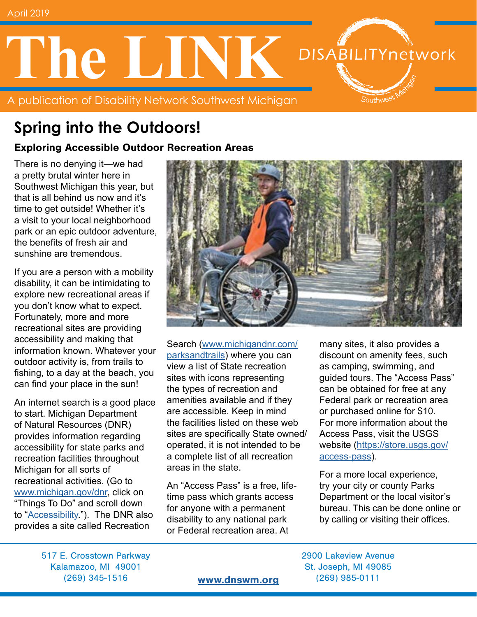# **The LINK DISABILITYnetwork** Southwest

A publication of Disability Network Southwest Michigan

## **Spring into the Outdoors!**

#### Exploring Accessible Outdoor Recreation Areas

There is no denying it—we had a pretty brutal winter here in Southwest Michigan this year, but that is all behind us now and it's time to get outside! Whether it's a visit to your local neighborhood park or an epic outdoor adventure, the benefits of fresh air and sunshine are tremendous.

If you are a person with a mobility disability, it can be intimidating to explore new recreational areas if you don't know what to expect. Fortunately, more and more recreational sites are providing accessibility and making that information known. Whatever your outdoor activity is, from trails to fishing, to a day at the beach, you can find your place in the sun!

An internet search is a good place to start. Michigan Department of Natural Resources (DNR) provides information regarding accessibility for state parks and recreation facilities throughout Michigan for all sorts of recreational activities. (Go to [www.michigan.gov/dnr,](https://www.michigan.gov/dnr/) click on "Things To Do" and scroll down to "[Accessibility](https://www.michigan.gov/dnr/0,4570,7-350-79137_79782---,00.html)."). The DNR also provides a site called Recreation



Search ([www.michigandnr.com/](http://www.michigandnr.com/parksandtrails/) [parksandtrails](http://www.michigandnr.com/parksandtrails/)) where you can view a list of State recreation sites with icons representing the types of recreation and amenities available and if they are accessible. Keep in mind the facilities listed on these web sites are specifically State owned/ operated, it is not intended to be a complete list of all recreation areas in the state.

An "Access Pass" is a free, lifetime pass which grants access for anyone with a permanent disability to any national park or Federal recreation area. At

many sites, it also provides a discount on amenity fees, such as camping, swimming, and guided tours. The "Access Pass" can be obtained for free at any Federal park or recreation area or purchased online for \$10. For more information about the Access Pass, visit the USGS website ([https://store.usgs.gov/](https://store.usgs.gov/access-pass) [access-pass\)](https://store.usgs.gov/access-pass).

For a more local experience, try your city or county Parks Department or the local visitor's bureau. This can be done online or by calling or visiting their offices.

517 E. Crosstown Parkway 2900 Lakeview Avenue Kalamazoo, MI 49001 St. Joseph, MI 49085 (269) 345-1516 [www.dnswm.org](http://www.dnswm.org) (269) 985-0111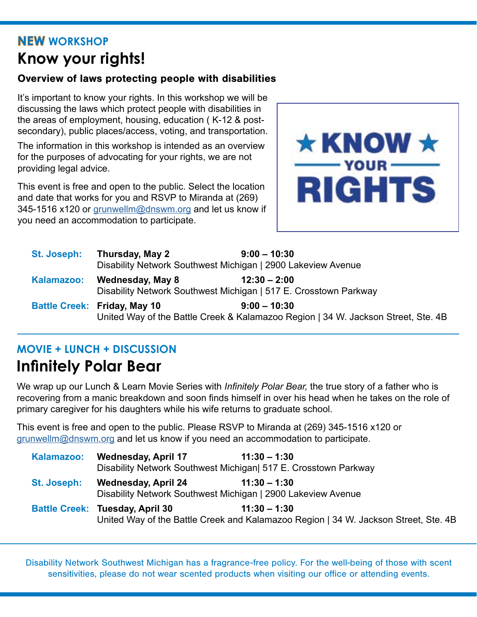### **NEW WORKSHOP Know your rights!**

#### Overview of laws protecting people with disabilities

It's important to know your rights. In this workshop we will be discussing the laws which protect people with disabilities in the areas of employment, housing, education ( K-12 & postsecondary), public places/access, voting, and transportation.

The information in this workshop is intended as an overview for the purposes of advocating for your rights, we are not providing legal advice.

This event is free and open to the public. Select the location and date that works for you and RSVP to Miranda at (269) 345-1516 x120 or [grunwellm@dnswm.org](mailto:grunwellm%40dnswm.org?subject=) and let us know if you need an accommodation to participate.



| <b>St. Joseph:</b> | Thursday, May 2                                                                   | $9:00 - 10:30$ |  |
|--------------------|-----------------------------------------------------------------------------------|----------------|--|
|                    | Disability Network Southwest Michigan   2900 Lakeview Avenue                      |                |  |
| Kalamazoo:         | Wednesday, May 8                                                                  | $12:30 - 2:00$ |  |
|                    | Disability Network Southwest Michigan   517 E. Crosstown Parkway                  |                |  |
|                    | <b>Battle Creek: Friday, May 10</b>                                               | $9:00 - 10:30$ |  |
|                    | United Way of the Battle Creek & Kalamazoo Region   34 W. Jackson Street, Ste. 4B |                |  |

### **MOVIE + LUNCH + DISCUSSION**

### **Infinitely Polar Bear**

We wrap up our Lunch & Learn Movie Series with *Infinitely Polar Bear,* the true story of a father who is recovering from a manic breakdown and soon finds himself in over his head when he takes on the role of primary caregiver for his daughters while his wife returns to graduate school.

This event is free and open to the public. Please RSVP to Miranda at (269) 345-1516 x120 or [grunwellm@dnswm.org](mailto:grunwellm%40dnswm.org?subject=) and let us know if you need an accommodation to participate.

| Kalamazoo:  | <b>Wednesday, April 17</b>             | $11:30 - 1:30$<br>Disability Network Southwest Michigan 517 E. Crosstown Parkway                      |
|-------------|----------------------------------------|-------------------------------------------------------------------------------------------------------|
| St. Joseph: | <b>Wednesday, April 24</b>             | $11:30 - 1:30$<br>Disability Network Southwest Michigan   2900 Lakeview Avenue                        |
|             | <b>Battle Creek: Tuesday, April 30</b> | $11:30 - 1:30$<br>United Way of the Battle Creek and Kalamazoo Region   34 W. Jackson Street, Ste. 4B |

Disability Network Southwest Michigan has a fragrance-free policy. For the well-being of those with scent sensitivities, please do not wear scented products when visiting our office or attending events.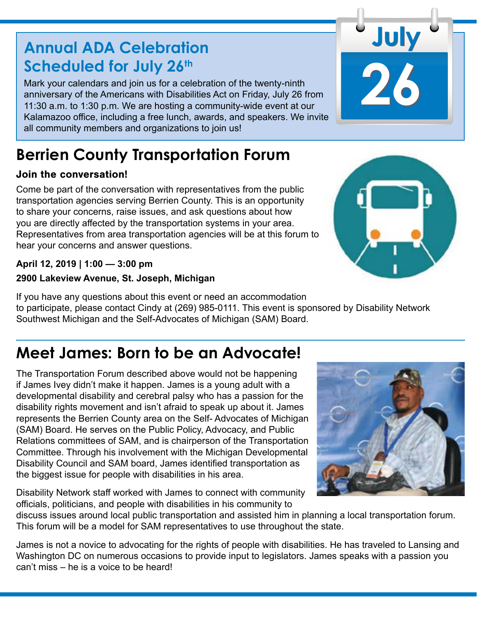### **Annual ADA Celebration Scheduled for July 26th**

Mark your calendars and join us for a celebration of the twenty-ninth anniversary of the Americans with Disabilities Act on Friday, July 26 from 11:30 a.m. to 1:30 p.m. We are hosting a community-wide event at our Kalamazoo office, including a free lunch, awards, and speakers. We invite all community members and organizations to join us!

# **Berrien County Transportation Forum**

### Join the conversation!

Come be part of the conversation with representatives from the public transportation agencies serving Berrien County. This is an opportunity to share your concerns, raise issues, and ask questions about how you are directly affected by the transportation systems in your area. Representatives from area transportation agencies will be at this forum to hear your concerns and answer questions.

### **April 12, 2019 | 1:00 — 3:00 pm**

#### **2900 Lakeview Avenue, St. Joseph, Michigan**

If you have any questions about this event or need an accommodation to participate, please contact Cindy at (269) 985-0111. This event is sponsored by Disability Network Southwest Michigan and the Self-Advocates of Michigan (SAM) Board.

### **Meet James: Born to be an Advocate!**

The Transportation Forum described above would not be happening if James Ivey didn't make it happen. James is a young adult with a developmental disability and cerebral palsy who has a passion for the disability rights movement and isn't afraid to speak up about it. James represents the Berrien County area on the Self- Advocates of Michigan (SAM) Board. He serves on the Public Policy, Advocacy, and Public Relations committees of SAM, and is chairperson of the Transportation Committee. Through his involvement with the Michigan Developmental Disability Council and SAM board, James identified transportation as the biggest issue for people with disabilities in his area.

Disability Network staff worked with James to connect with community officials, politicians, and people with disabilities in his community to

discuss issues around local public transportation and assisted him in planning a local transportation forum. This forum will be a model for SAM representatives to use throughout the state.

James is not a novice to advocating for the rights of people with disabilities. He has traveled to Lansing and Washington DC on numerous occasions to provide input to legislators. James speaks with a passion you can't miss – he is a voice to be heard!





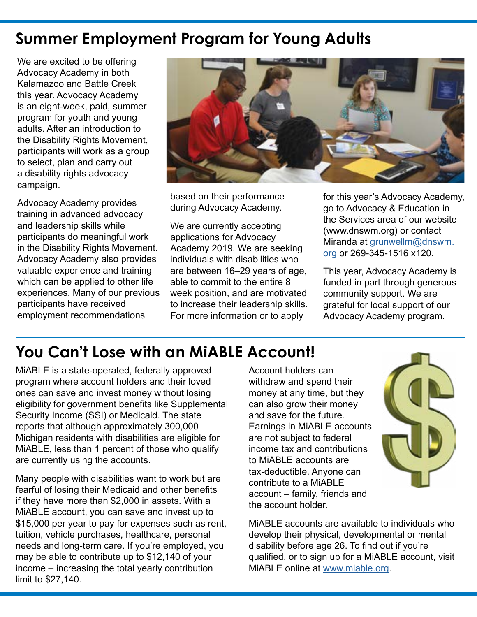### **Summer Employment Program for Young Adults**

We are excited to be offering Advocacy Academy in both Kalamazoo and Battle Creek this year. Advocacy Academy is an eight-week, paid, summer program for youth and young adults. After an introduction to the Disability Rights Movement. participants will work as a group to select, plan and carry out a disability rights advocacy campaign.

Advocacy Academy provides training in advanced advocacy and leadership skills while participants do meaningful work in the Disability Rights Movement. Advocacy Academy also provides valuable experience and training which can be applied to other life experiences. Many of our previous participants have received employment recommendations



based on their performance during Advocacy Academy.

We are currently accepting applications for Advocacy Academy 2019. We are seeking individuals with disabilities who are between 16–29 years of age, able to commit to the entire 8 week position, and are motivated to increase their leadership skills. For more information or to apply

for this year's Advocacy Academy, go to Advocacy & Education in the Services area of our website (www.dnswm.org) or contact Miranda at [grunwellm@dnswm.](mailto:grunwellm%40dnswm.org?subject=) [org](mailto:grunwellm%40dnswm.org?subject=) or 269-345-1516 x120.

This year, Advocacy Academy is funded in part through generous community support. We are grateful for local support of our Advocacy Academy program.

### **You Can't Lose with an MiABLE Account!**

MiABLE is a state-operated, federally approved program where account holders and their loved ones can save and invest money without losing eligibility for government benefits like Supplemental Security Income (SSI) or Medicaid. The state reports that although approximately 300,000 Michigan residents with disabilities are eligible for MiABLE, less than 1 percent of those who qualify are currently using the accounts.

Many people with disabilities want to work but are fearful of losing their Medicaid and other benefits if they have more than \$2,000 in assets. With a MiABLE account, you can save and invest up to \$15,000 per year to pay for expenses such as rent, tuition, vehicle purchases, healthcare, personal needs and long-term care. If you're employed, you may be able to contribute up to \$12,140 of your income – increasing the total yearly contribution limit to \$27,140.

Account holders can withdraw and spend their money at any time, but they can also grow their money and save for the future. Earnings in MiABLE accounts are not subject to federal income tax and contributions to MiABLE accounts are tax-deductible. Anyone can contribute to a MiABLE account – family, friends and the account holder.



MiABLE accounts are available to individuals who develop their physical, developmental or mental disability before age 26. To find out if you're qualified, or to sign up for a MiABLE account, visit MiABLE online at [www.miable.org](https://www.miable.org/).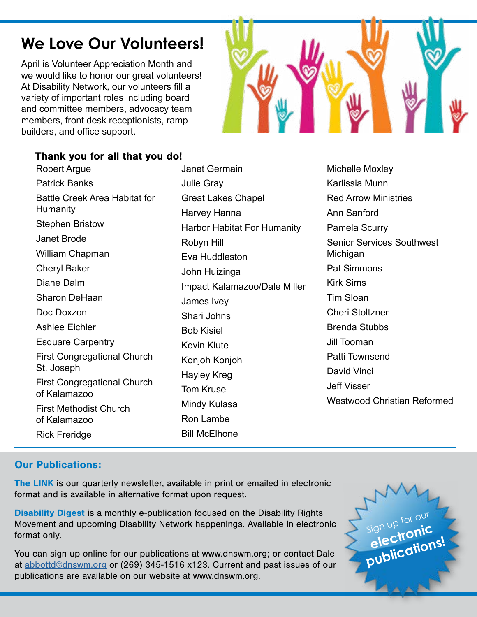### **We Love Our Volunteers!**

April is Volunteer Appreciation Month and we would like to honor our great volunteers! At Disability Network, our volunteers fill a variety of important roles including board and committee members, advocacy team members, front desk receptionists, ramp builders, and office support.

#### Thank you for all that you do!

Robert Argue Patrick Banks Battle Creek Area Habitat for Humanity Stephen Bristow Janet Brode William Chapman Cheryl Baker Diane Dalm Sharon DeHaan Doc Doxzon Ashlee Eichler Esquare Carpentry First Congregational Church St. Joseph First Congregational Church of Kalamazoo First Methodist Church of Kalamazoo Rick Freridge

Janet Germain Julie Gray Great Lakes Chapel Harvey Hanna Harbor Habitat For Humanity Robyn Hill Eva Huddleston John Huizinga Impact Kalamazoo/Dale Miller James Ivey Shari Johns Bob Kisiel Kevin Klute Konjoh Konjoh Hayley Kreg Tom Kruse Mindy Kulasa Ron Lambe Bill McElhone



#### Our Publications:

The LINK is our quarterly newsletter, available in print or emailed in electronic format and is available in alternative format upon request.

Disability Digest is a monthly e-publication focused on the Disability Rights Movement and upcoming Disability Network happenings. Available in electronic format only.

You can sign up online for our publications at www.dnswm.org; or contact Dale at [abbottd@dnswm.org](mailto:abbottd%40dnswm.org?subject=) or (269) 345-1516 x123. Current and past issues of our publications are available on our website at www.dnswm.org.